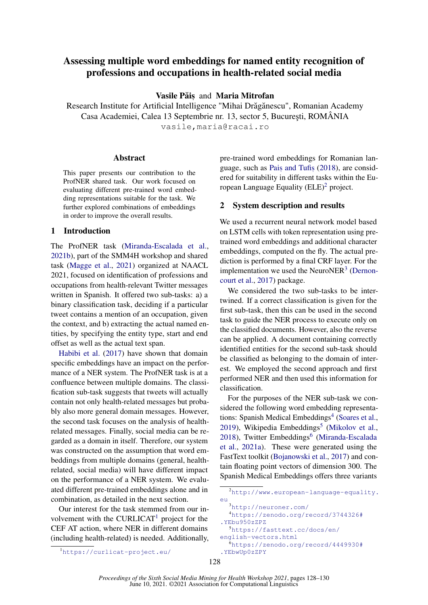# Assessing multiple word embeddings for named entity recognition of professions and occupations in health-related social media

Vasile Păis and Maria Mitrofan

Research Institute for Artificial Intelligence "Mihai Drăgănescu", Romanian Academy Casa Academiei, Calea 13 Septembrie nr. 13, sector 5, București, ROMÂNIA vasile,maria@racai.ro

#### Abstract

This paper presents our contribution to the ProfNER shared task. Our work focused on evaluating different pre-trained word embedding representations suitable for the task. We further explored combinations of embeddings in order to improve the overall results.

# 1 Introduction

The ProfNER task [\(Miranda-Escalada et al.,](#page-2-0) [2021b\)](#page-2-0), part of the SMM4H workshop and shared task [\(Magge et al.,](#page-2-1) [2021\)](#page-2-1) organized at NAACL 2021, focused on identification of professions and occupations from health-relevant Twitter messages written in Spanish. It offered two sub-tasks: a) a binary classification task, deciding if a particular tweet contains a mention of an occupation, given the context, and b) extracting the actual named entities, by specifying the entity type, start and end offset as well as the actual text span.

[Habibi et al.](#page-2-2) [\(2017\)](#page-2-2) have shown that domain specific embeddings have an impact on the performance of a NER system. The ProfNER task is at a confluence between multiple domains. The classification sub-task suggests that tweets will actually contain not only health-related messages but probably also more general domain messages. However, the second task focuses on the analysis of healthrelated messages. Finally, social media can be regarded as a domain in itself. Therefore, our system was constructed on the assumption that word embeddings from multiple domains (general, healthrelated, social media) will have different impact on the performance of a NER system. We evaluated different pre-trained embeddings alone and in combination, as detailed in the next section.

Our interest for the task stemmed from our in-volvement with the CURLICAT<sup>[1](#page-0-0)</sup> project for the CEF AT action, where NER in different domains (including health-related) is needed. Additionally,

<span id="page-0-0"></span><sup>1</sup><https://curlicat-project.eu/>

pre-trained word embeddings for Romanian language, such as Pais [and Tufis](#page-2-3) [\(2018\)](#page-2-3), are considered for suitability in different tasks within the European Language Equality  $(ELE)^2$  $(ELE)^2$  project.

### 2 System description and results

We used a recurrent neural network model based on LSTM cells with token representation using pretrained word embeddings and additional character embeddings, computed on the fly. The actual prediction is performed by a final CRF layer. For the implementation we used the NeuroNER $3$  [\(Dernon](#page-2-4)[court et al.,](#page-2-4) [2017\)](#page-2-4) package.

We considered the two sub-tasks to be intertwined. If a correct classification is given for the first sub-task, then this can be used in the second task to guide the NER process to execute only on the classified documents. However, also the reverse can be applied. A document containing correctly identified entities for the second sub-task should be classified as belonging to the domain of interest. We employed the second approach and first performed NER and then used this information for classification.

For the purposes of the NER sub-task we considered the following word embedding representa-tions: Spanish Medical Embeddings<sup>[4](#page-0-3)</sup> [\(Soares et al.,](#page-2-5) [2019\)](#page-2-5), Wikipedia Embeddings<sup>[5](#page-0-4)</sup> [\(Mikolov et al.,](#page-2-6) [2018\)](#page-2-6), Twitter Embeddings<sup>[6](#page-0-5)</sup> [\(Miranda-Escalada](#page-2-7) [et al.,](#page-2-7) [2021a\)](#page-2-7). These were generated using the FastText toolkit [\(Bojanowski et al.,](#page-2-8) [2017\)](#page-2-8) and contain floating point vectors of dimension 300. The Spanish Medical Embeddings offers three variants

<span id="page-0-4"></span><sup>4</sup>[https://zenodo.org/record/3744326#](https://zenodo.org/record/3744326#.YEbu950zZPZ) [.YEbu950zZPZ](https://zenodo.org/record/3744326#.YEbu950zZPZ) <sup>5</sup>[https://fasttext.cc/docs/en/](https://fasttext.cc/docs/en/english-vectors.html) [english-vectors.html](https://fasttext.cc/docs/en/english-vectors.html)

<span id="page-0-1"></span><sup>2</sup>[http://www.european-language-equality.](http://www.european-language-equality.eu) [eu](http://www.european-language-equality.eu)

<span id="page-0-3"></span><span id="page-0-2"></span><sup>3</sup><http://neuroner.com/>

<span id="page-0-5"></span><sup>6</sup>[https://zenodo.org/record/4449930#](https://zenodo.org/record/4449930#.YEbwUp0zZPY) [.YEbwUp0zZPY](https://zenodo.org/record/4449930#.YEbwUp0zZPY)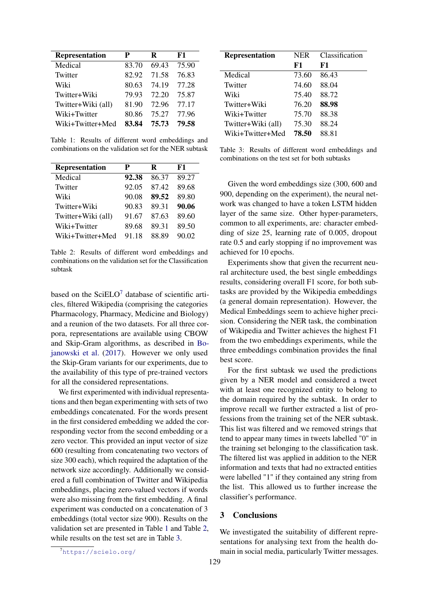<span id="page-1-1"></span>

| Representation     | P     | R     | F1    |
|--------------------|-------|-------|-------|
| Medical            | 83.70 | 69.43 | 75.90 |
| Twitter            | 82.92 | 71.58 | 76.83 |
| Wiki               | 80.63 | 74.19 | 77.28 |
| Twitter+Wiki       | 79.93 | 72.20 | 75.87 |
| Twitter+Wiki (all) | 81.90 | 72.96 | 77.17 |
| Wiki+Twitter       | 80.86 | 75.27 | 77.96 |
| Wiki+Twitter+Med   | 83.84 | 75.73 | 79.58 |

Table 1: Results of different word embeddings and combinations on the validation set for the NER subtask

<span id="page-1-2"></span>

| <b>Representation</b> | P     | R     | F1    |
|-----------------------|-------|-------|-------|
| Medical               | 92.38 | 86.37 | 89.27 |
| Twitter               | 92.05 | 87.42 | 89.68 |
| Wiki                  | 90.08 | 89.52 | 89.80 |
| Twitter+Wiki          | 90.83 | 89.31 | 90.06 |
| Twitter+Wiki (all)    | 91.67 | 87.63 | 89.60 |
| Wiki+Twitter          | 89.68 | 89.31 | 89.50 |
| Wiki+Twitter+Med      | 91.18 | 88.89 | 90.02 |

Table 2: Results of different word embeddings and combinations on the validation set for the Classification subtask

based on the  $SciELO<sup>7</sup>$  $SciELO<sup>7</sup>$  $SciELO<sup>7</sup>$  database of scientific articles, filtered Wikipedia (comprising the categories Pharmacology, Pharmacy, Medicine and Biology) and a reunion of the two datasets. For all three corpora, representations are available using CBOW and Skip-Gram algorithms, as described in [Bo](#page-2-8)[janowski et al.](#page-2-8) [\(2017\)](#page-2-8). However we only used the Skip-Gram variants for our experiments, due to the availability of this type of pre-trained vectors for all the considered representations.

We first experimented with individual representations and then began experimenting with sets of two embeddings concatenated. For the words present in the first considered embedding we added the corresponding vector from the second embedding or a zero vector. This provided an input vector of size 600 (resulting from concatenating two vectors of size 300 each), which required the adaptation of the network size accordingly. Additionally we considered a full combination of Twitter and Wikipedia embeddings, placing zero-valued vectors if words were also missing from the first embedding. A final experiment was conducted on a concatenation of 3 embeddings (total vector size 900). Results on the validation set are presented in Table [1](#page-1-1) and Table [2,](#page-1-2) while results on the test set are in Table [3.](#page-1-3)

<span id="page-1-3"></span>

| <b>Representation</b> | <b>NER</b><br>F1 | Classification<br>F1 |
|-----------------------|------------------|----------------------|
|                       |                  |                      |
| Medical               | 73.60            | 86.43                |
| Twitter               | 74.60            | 88.04                |
| Wiki                  | 75.40            | 88.72                |
| Twitter+Wiki          | 76.20            | 88.98                |
| Wiki+Twitter          | 75.70            | 88.38                |
| Twitter+Wiki (all)    | 75.30            | 88.24                |
| Wiki+Twitter+Med      | 78.50            | 88.81                |

Table 3: Results of different word embeddings and combinations on the test set for both subtasks

Given the word embeddings size (300, 600 and 900, depending on the experiment), the neural network was changed to have a token LSTM hidden layer of the same size. Other hyper-parameters, common to all experiments, are: character embedding of size 25, learning rate of 0.005, dropout rate 0.5 and early stopping if no improvement was achieved for 10 epochs.

Experiments show that given the recurrent neural architecture used, the best single embeddings results, considering overall F1 score, for both subtasks are provided by the Wikipedia embeddings (a general domain representation). However, the Medical Embeddings seem to achieve higher precision. Considering the NER task, the combination of Wikipedia and Twitter achieves the highest F1 from the two embeddings experiments, while the three embeddings combination provides the final best score.

For the first subtask we used the predictions given by a NER model and considered a tweet with at least one recognized entity to belong to the domain required by the subtask. In order to improve recall we further extracted a list of professions from the training set of the NER subtask. This list was filtered and we removed strings that tend to appear many times in tweets labelled "0" in the training set belonging to the classification task. The filtered list was applied in addition to the NER information and texts that had no extracted entities were labelled "1" if they contained any string from the list. This allowed us to further increase the classifier's performance.

# 3 Conclusions

We investigated the suitability of different representations for analysing text from the health domain in social media, particularly Twitter messages.

<span id="page-1-0"></span><sup>7</sup><https://scielo.org/>